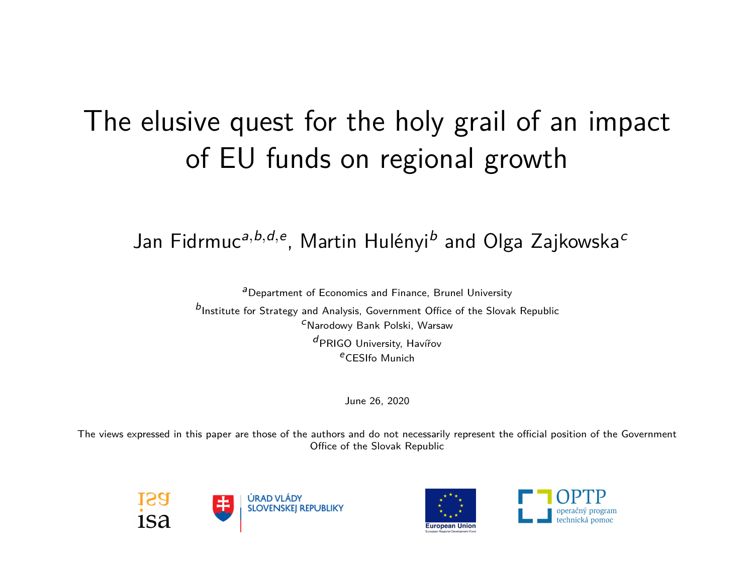# The elusive quest for the holy grail of an impact of EU funds on regional growth

#### Jan Fidrmuc*<sup>a</sup>,b,d,<sup>e</sup>* , Martin Hulényi*<sup>b</sup>* and Olga Zajkowska*<sup>c</sup>*

*a*Department of Economics and Finance, Brunel University

*b*Institute for Strategy and Analysis, Government Office of the Slovak Republic *c*Narodowy Bank Polski, Warsaw *d*PRIGO University, Havířov *e*CESIfo Munich

June 26, 2020

The views expressed in this paper are those of the authors and do not necessarily represent the official position of the Government Office of the Slovak Republic





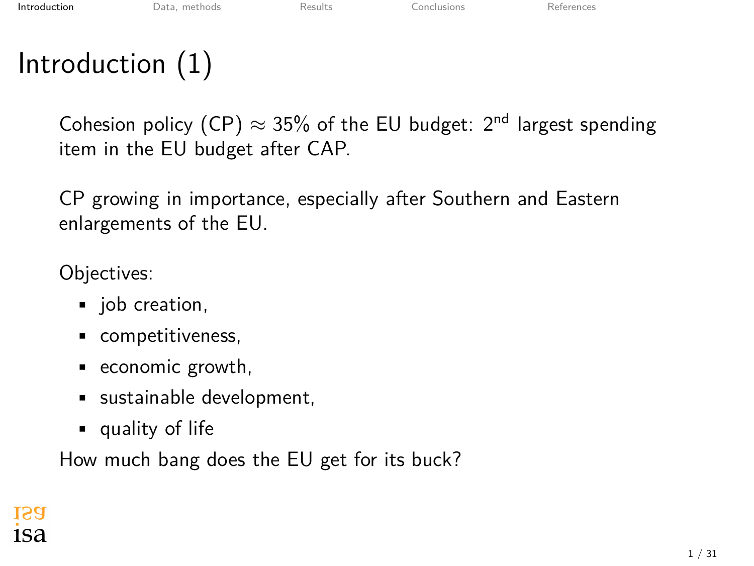### <span id="page-1-0"></span>Introduction (1)

Cohesion policy (CP)  $\approx$  35% of the EU budget: 2<sup>nd</sup> largest spending item in the EU budget after CAP.

CP growing in importance, especially after Southern and Eastern enlargements of the EU.

Objectives:

- job creation,
- competitiveness,
- economic growth,
- sustainable development,
- quality of life

How much bang does the EU get for its buck?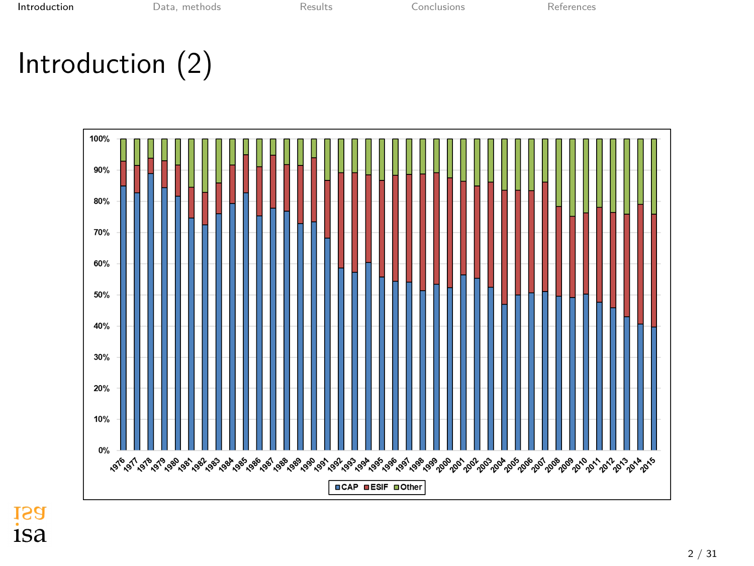### Introduction (2)

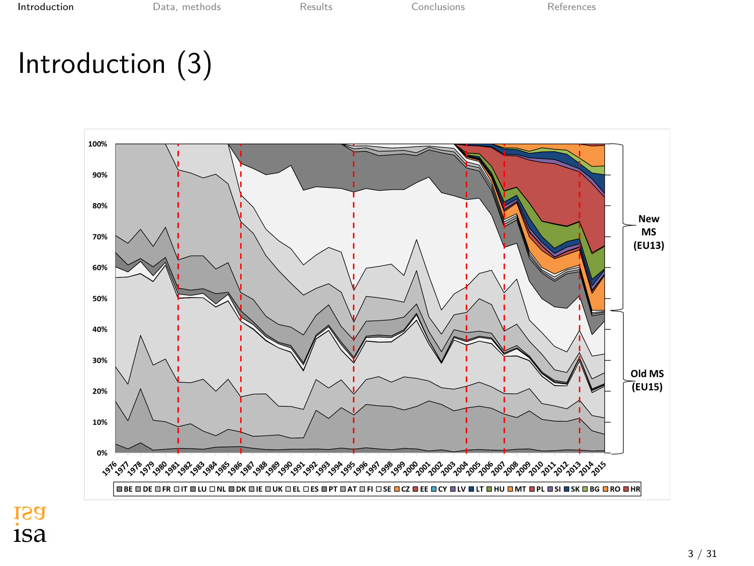**[Introduction](#page-1-0)** [Data, methods](#page-10-0) [Results](#page-20-0) [Conclusions](#page-28-0) [References](#page-30-0)

# Introduction (3)

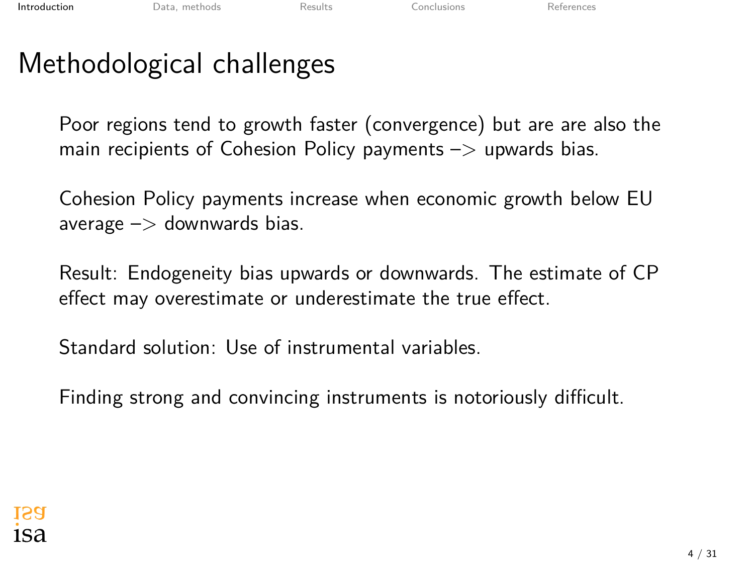### Methodological challenges

Poor regions tend to growth faster (convergence) but are are also the main recipients of Cohesion Policy payments  $\rightarrow$  upwards bias.

Cohesion Policy payments increase when economic growth below EU average  $\Rightarrow$  downwards bias.

Result: Endogeneity bias upwards or downwards. The estimate of CP effect may overestimate or underestimate the true effect.

Standard solution: Use of instrumental variables.

Finding strong and convincing instruments is notoriously difficult.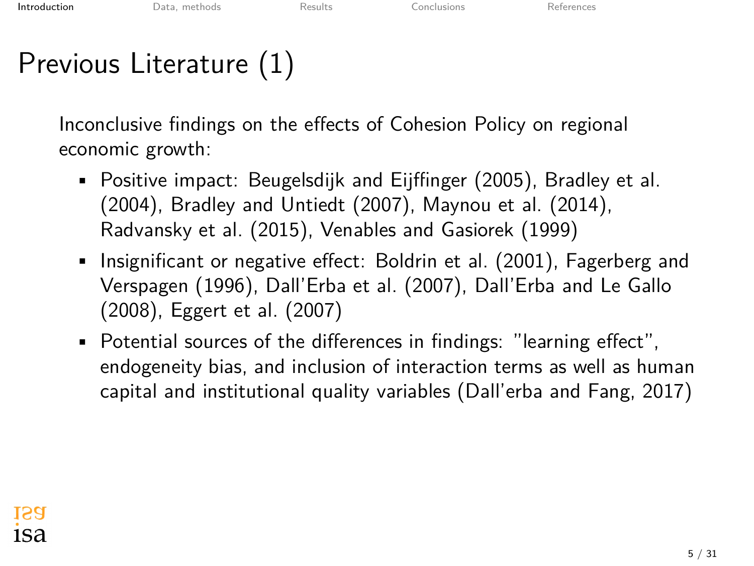# Previous Literature (1)

Inconclusive findings on the effects of Cohesion Policy on regional economic growth:

- Positive impact: [Beugelsdijk and Eijffinger \(2005](#page-30-1)), [Bradley et al.](#page-30-2) [\(2004](#page-30-2)), [Bradley and Untiedt \(2007](#page-30-3)), [Maynou et al. \(2014](#page-30-4)), [Radvansky et al. \(2015](#page-30-5)), [Venables and Gasiorek \(1999\)](#page-30-6)
- Insignificant or negative effect: [Boldrin et al. \(2001](#page-30-7)), [Fagerberg and](#page-30-8) [Verspagen \(1996\)](#page-30-8), [Dall'Erba et al. \(2007](#page-30-9)), [Dall'Erba and Le Gallo](#page-30-10) [\(2008](#page-30-10)), [Eggert et al. \(2007](#page-30-11))
- Potential sources of the differences in findings: "learning effect", endogeneity bias, and inclusion of interaction terms as well as human capital and institutional quality variables ([Dall'erba and Fang, 2017](#page-30-12))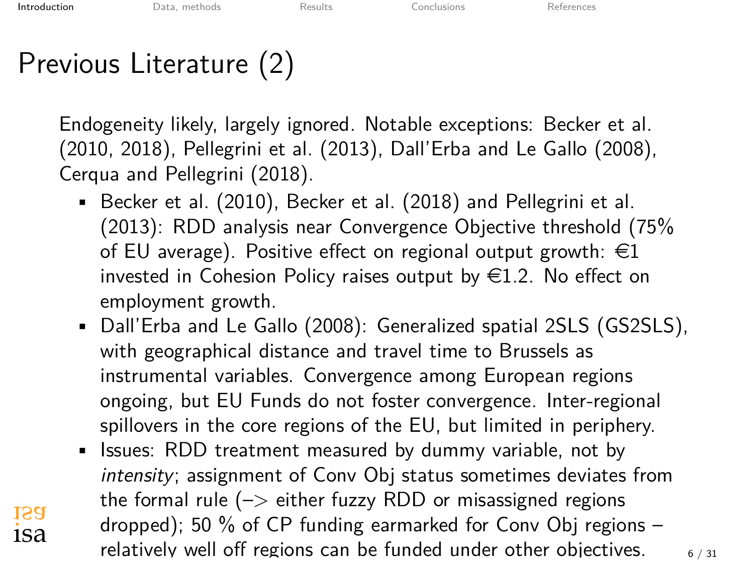**ISA** 1Sa

# Previous Literature (2)

Endogeneity likely, largely ignored. Notable exceptions: [Becker et al.](#page-30-13) [\(2010](#page-30-13), [2018](#page-30-14)), [Pellegrini et al. \(2013\)](#page-30-15), [Dall'Erba and Le Gallo \(2008\)](#page-30-10), [Cerqua and Pellegrini \(2018](#page-30-16)).

- [Becker et al. \(2010\)](#page-30-13), [Becker et al. \(2018](#page-30-14)) and [Pellegrini et al.](#page-30-15) [\(2013](#page-30-15)): RDD analysis near Convergence Objective threshold (75% of EU average). Positive effect on regional output growth:  $\in$ 1 invested in Cohesion Policy raises output by  $\in$ 1.2. No effect on employment growth.
- [Dall'Erba and Le Gallo \(2008](#page-30-10)): Generalized spatial 2SLS (GS2SLS), with geographical distance and travel time to Brussels as instrumental variables. Convergence among European regions ongoing, but EU Funds do not foster convergence. Inter-regional spillovers in the core regions of the EU, but limited in periphery.
- Issues: RDD treatment measured by dummy variable, not by *intensity*; assignment of Conv Obj status sometimes deviates from the formal rule  $(-)$  either fuzzy RDD or misassigned regions dropped); 50 % of CP funding earmarked for Conv Obj regions – relatively well off regions can be funded under other objectives.  $6 / 31$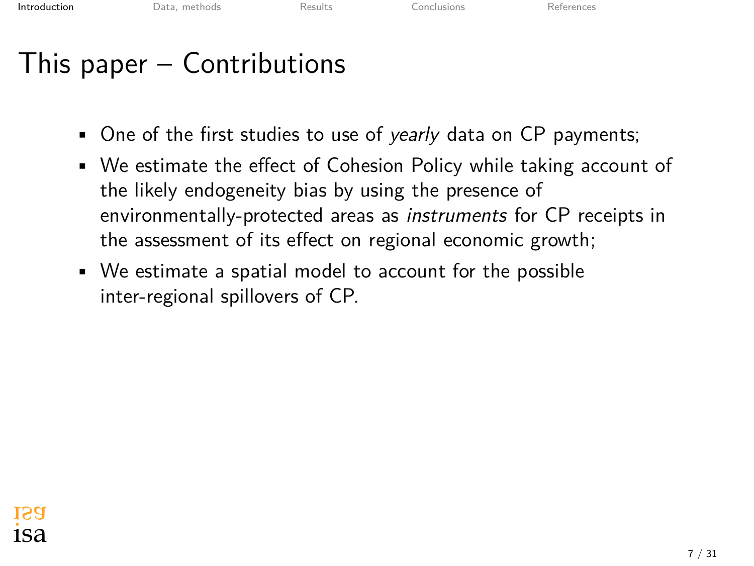### This paper – Contributions

- One of the first studies to use of *yearly* data on CP payments;
- We estimate the effect of Cohesion Policy while taking account of the likely endogeneity bias by using the presence of environmentally-protected areas as *instruments* for CP receipts in the assessment of its effect on regional economic growth;
- We estimate a spatial model to account for the possible inter-regional spillovers of CP.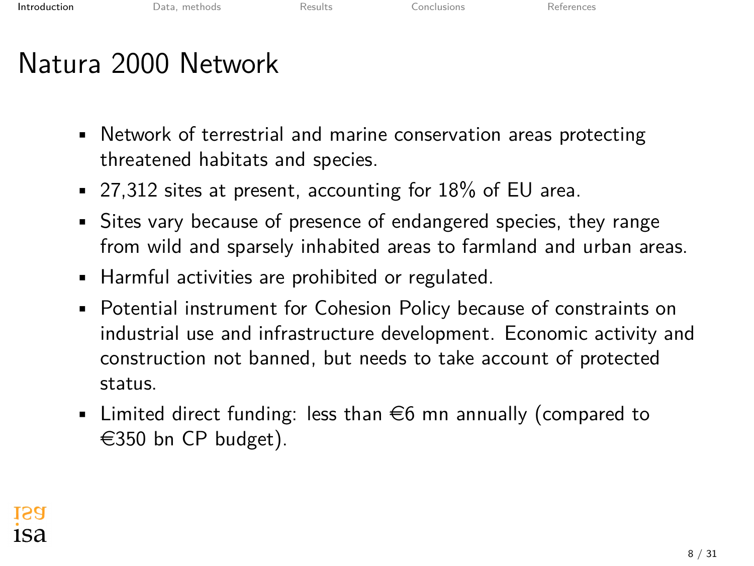### Natura 2000 Network

- Network of terrestrial and marine conservation areas protecting threatened habitats and species.
- 27,312 sites at present, accounting for 18% of EU area.
- Sites vary because of presence of endangered species, they range from wild and sparsely inhabited areas to farmland and urban areas.
- Harmful activities are prohibited or regulated.
- Potential instrument for Cohesion Policy because of constraints on industrial use and infrastructure development. Economic activity and construction not banned, but needs to take account of protected status.
- **•** Limited direct funding: less than  $\in$ 6 mn annually (compared to  $\in$ 350 bn CP budget).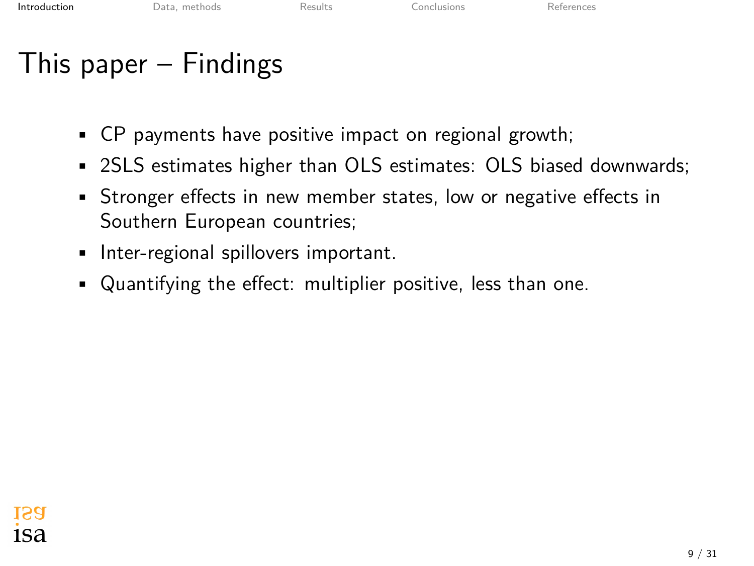### This paper – Findings

- CP payments have positive impact on regional growth;
- 2SLS estimates higher than OLS estimates: OLS biased downwards;
- Stronger effects in new member states, low or negative effects in Southern European countries;
- Inter-regional spillovers important.
- Quantifying the effect: multiplier positive, less than one.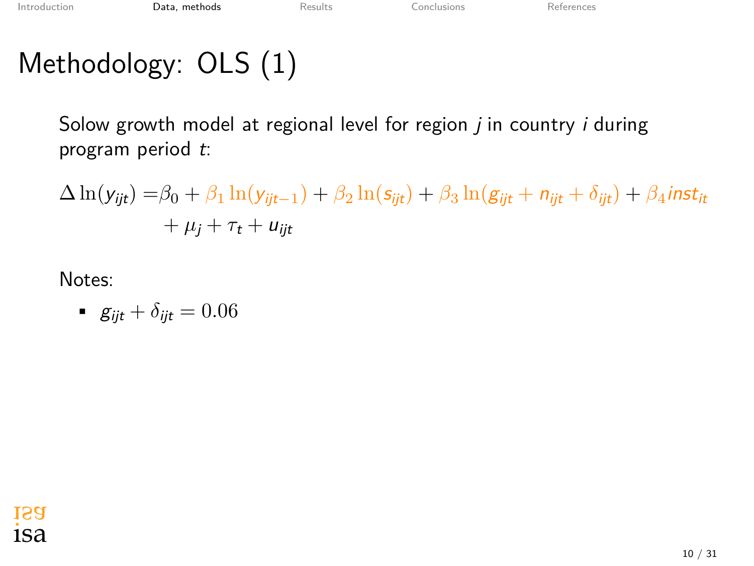# <span id="page-10-0"></span>Methodology: OLS (1)

Solow growth model at regional level for region *j* in country *i* during program period *t*:

$$
\Delta \ln(y_{ijt}) = \beta_0 + \beta_1 \ln(y_{ijt-1}) + \beta_2 \ln(s_{ijt}) + \beta_3 \ln(g_{ijt} + n_{ijt} + \delta_{ijt}) + \beta_4 inst_{it}
$$
  
+  $\mu_j + \tau_t + u_{ijt}$ 

• 
$$
g_{ijt} + \delta_{ijt} = 0.06
$$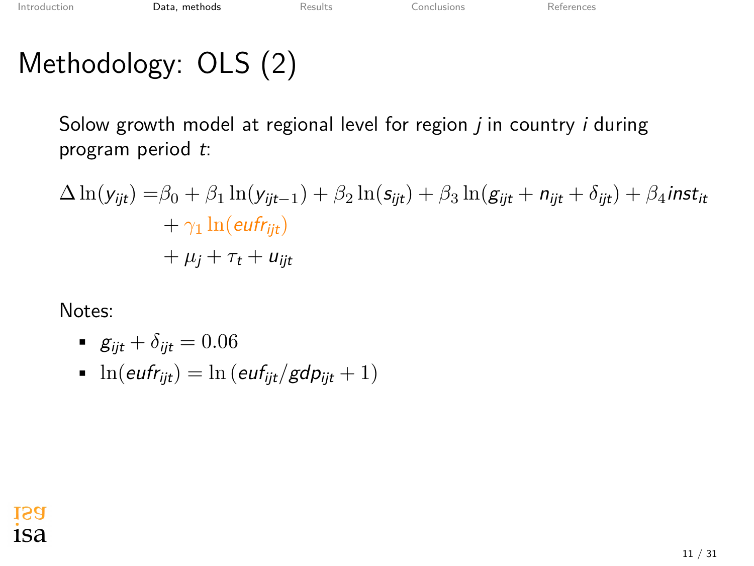# Methodology: OLS (2)

Solow growth model at regional level for region *j* in country *i* during program period *t*:

$$
\Delta \ln(y_{ijt}) = \beta_0 + \beta_1 \ln(y_{ijt-1}) + \beta_2 \ln(s_{ijt}) + \beta_3 \ln(g_{ijt} + n_{ijt} + \delta_{ijt}) + \beta_4 \text{inst}_{it} + \gamma_1 \ln(\text{eufr}_{ijt}) + \mu_j + \tau_t + u_{ijt}
$$

- $g_{ijt} + \delta_{ijt} = 0.06$
- $\ln(euff_{ijt}) = \ln(euff_{ijt}/gdp_{ijt} + 1)$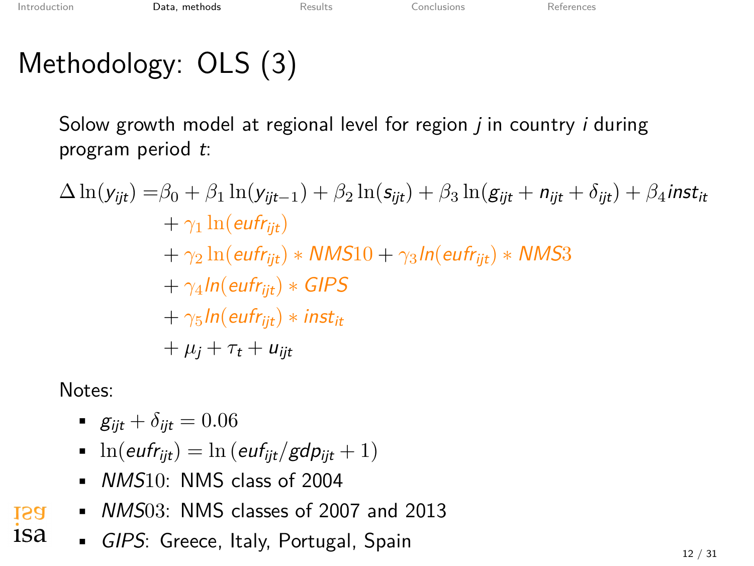# Methodology: OLS (3)

Solow growth model at regional level for region *j* in country *i* during program period *t*:

$$
\Delta \ln(y_{ijt}) = \beta_0 + \beta_1 \ln(y_{ijt-1}) + \beta_2 \ln(s_{ijt}) + \beta_3 \ln(g_{ijt} + n_{ijt} + \delta_{ijt}) + \beta_4 inst_{it}
$$
  
+  $\gamma_1 \ln(eufr_{ijt})$   
+  $\gamma_2 \ln(eufr_{ijt}) * NMS10 + \gamma_3 ln(eufr_{ijt}) * NMS3$   
+  $\gamma_4 ln(eufr_{ijt}) * GIPS$   
+  $\gamma_5 ln(eufr_{ijt}) * inst_{it}$   
+  $\mu_j + \tau_t + u_{ijt}$ 

- $g_{ii t} + \delta_{ii t} = 0.06$
- $\ln(\text{eufr}_{\text{ijt}}) = \ln(\text{euf}_{\text{ijt}}/\text{gdp}_{\text{ijt}} + 1)$
- *NMS*10: NMS class of 2004
- *NMS*03: NMS classes of 2007 and 2013 **ISA**
- 1sa • *GIPS*: Greece, Italy, Portugal, Spain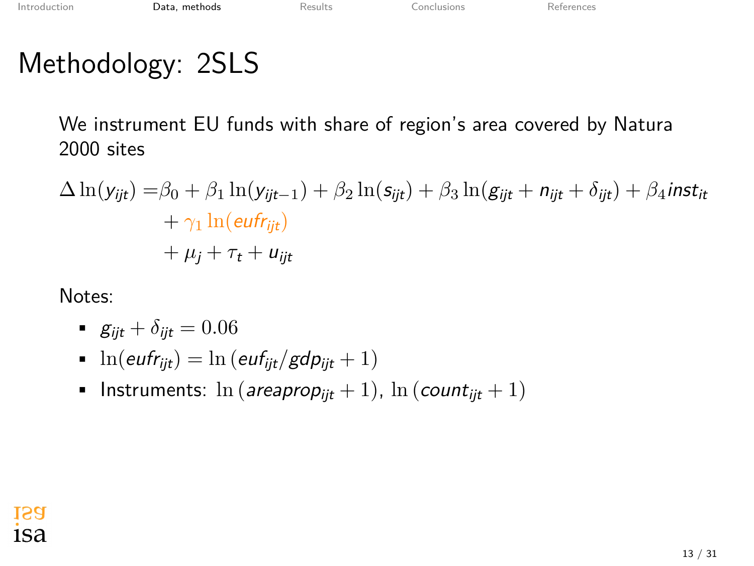### Methodology: 2SLS

We instrument EU funds with share of region's area covered by Natura 2000 sites

$$
\Delta \ln(y_{ijt}) = \beta_0 + \beta_1 \ln(y_{ijt-1}) + \beta_2 \ln(s_{ijt}) + \beta_3 \ln(g_{ijt} + n_{ijt} + \delta_{ijt}) + \beta_4 \text{inst}_{it} + \gamma_1 \ln(\text{eufr}_{ijt}) + \mu_j + \tau_t + u_{ijt}
$$

- $g_{ijt} + \delta_{ijt} = 0.06$
- $\ln(\text{eufr}_{\text{ijt}}) = \ln(\text{euf}_{\text{ijt}}/\text{gdp}_{\text{ijt}} + 1)$
- Instruments:  $\ln (areaprop_{ijt} + 1)$ ,  $\ln (count_{ijt} + 1)$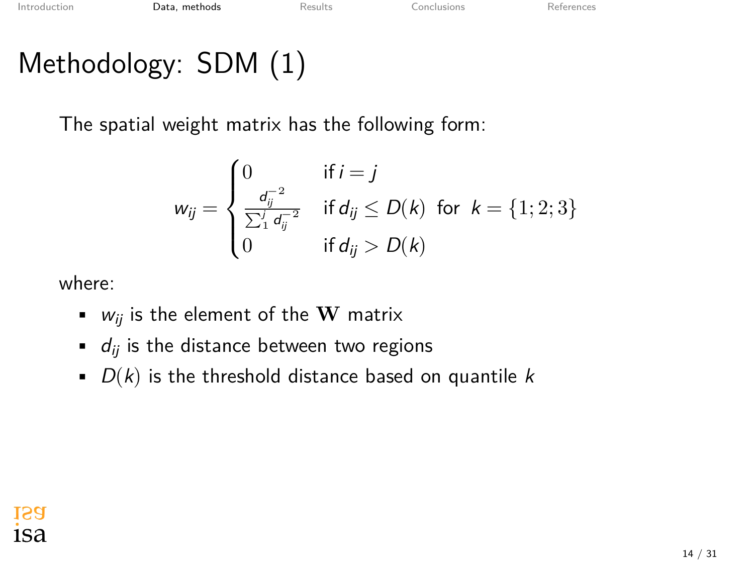# Methodology: SDM (1)

The spatial weight matrix has the following form:

$$
w_{ij} = \begin{cases} 0 & \text{if } i = j \\ \frac{d_{ij}^{-2}}{\sum_1^j d_{ij}^{-2}} & \text{if } d_{ij} \le D(k) \text{ for } k = \{1; 2; 3\} \\ 0 & \text{if } d_{ij} > D(k) \end{cases}
$$

where:

- $\bullet$  *w<sub>ii</sub>* is the element of the **W** matrix
- $\bullet$  *d<sub>ij</sub>* is the distance between two regions
- *D*(*k*) is the threshold distance based on quantile *k*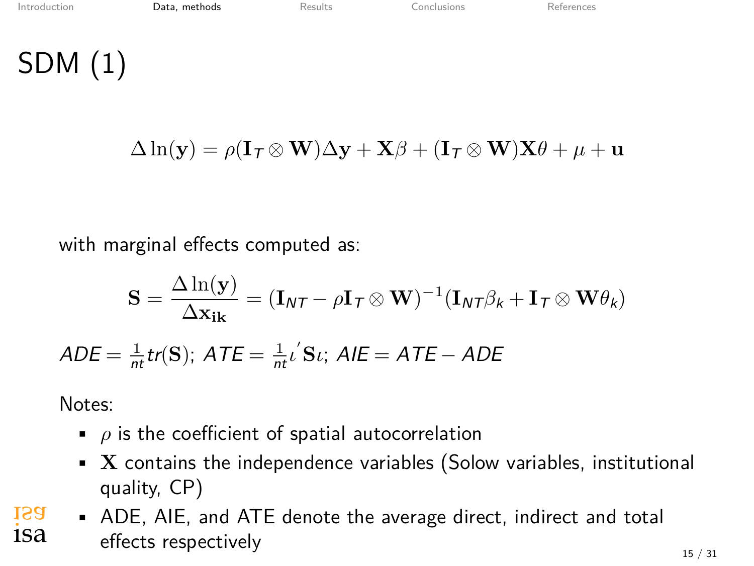SDM (1)

$$
\Delta \ln(\mathbf{y}) = \rho(\mathbf{I}_\mathcal{T} \otimes \mathbf{W}) \Delta \mathbf{y} + \mathbf{X} \beta + (\mathbf{I}_\mathcal{T} \otimes \mathbf{W}) \mathbf{X} \theta + \mu + \mathbf{u}
$$

with marginal effects computed as:

$$
\mathbf{S} = \frac{\Delta \ln(\mathbf{y})}{\Delta \mathbf{x}_{ik}} = (\mathbf{I}_{NT} - \rho \mathbf{I}_T \otimes \mathbf{W})^{-1} (\mathbf{I}_{NT} \beta_k + \mathbf{I}_T \otimes \mathbf{W} \theta_k)
$$

 $ADE = \frac{1}{nt}$ *tr*(**S**);  $ATE = \frac{1}{nt}$ *ι*<sup> $\prime$ </sup>**S***ι*;  $AIE = ATE - ADE$ 

- *ρ* is the coefficient of spatial autocorrelation
- **X** contains the independence variables (Solow variables, institutional quality, CP)
- **ISA** • ADE, AIE, and ATE denote the average direct, indirect and total 1Sa effects respectively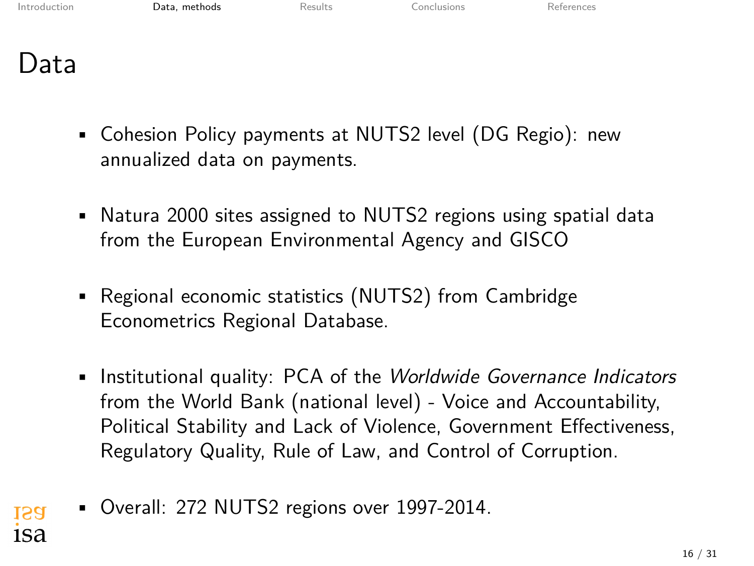[Introduction](#page-1-0) **[Data, methods](#page-10-0)** [Results](#page-20-0) [Conclusions](#page-28-0) [References](#page-30-0)

Data

- Cohesion Policy payments at NUTS2 level (DG Regio): new annualized data on payments.
- Natura 2000 sites assigned to NUTS2 regions using spatial data from the European Environmental Agency and GISCO
- Regional economic statistics (NUTS2) from Cambridge Econometrics Regional Database.
- Institutional quality: PCA of the *Worldwide Governance Indicators* from the World Bank (national level) - Voice and Accountability, Political Stability and Lack of Violence, Government Effectiveness, Regulatory Quality, Rule of Law, and Control of Corruption.
- Overall: 272 NUTS2 regions over 1997-2014. **ISA** 1Sa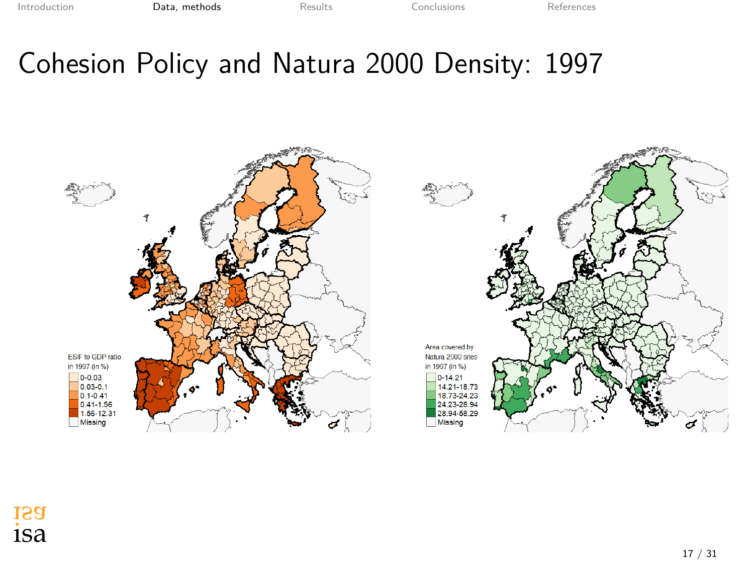[Introduction](#page-1-0) **[Data, methods](#page-10-0)** [Results](#page-20-0) [Conclusions](#page-28-0) [References](#page-30-0)

### Cohesion Policy and Natura 2000 Density: 1997



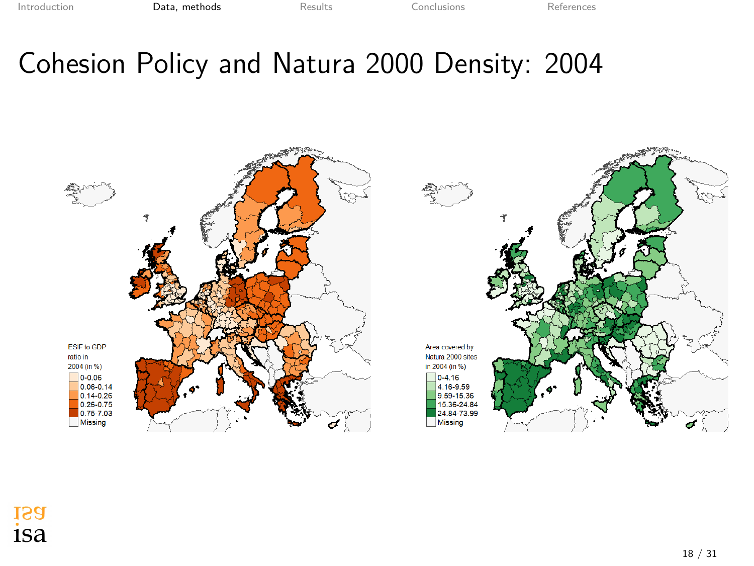### Cohesion Policy and Natura 2000 Density: 2004

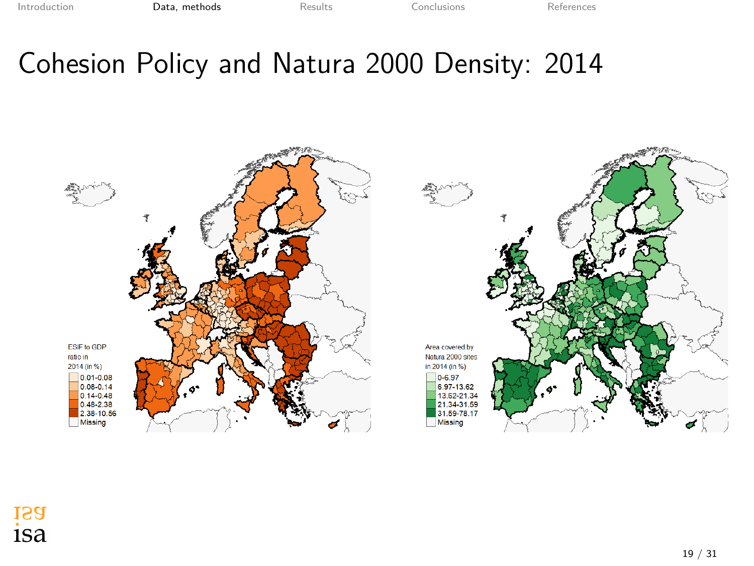### Cohesion Policy and Natura 2000 Density: 2014

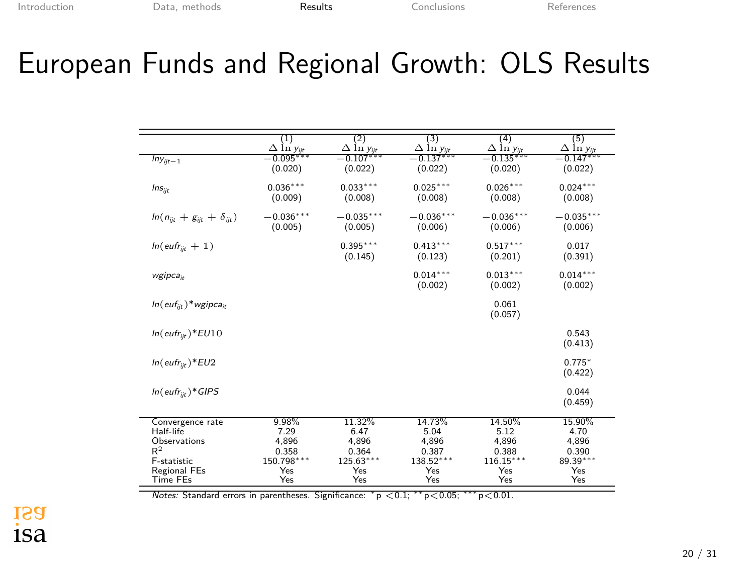### <span id="page-20-0"></span>European Funds and Regional Growth: OLS Results

|                                        | $\left(1\right)$<br>$\Delta$ ln y <sub>iit</sub> | $\overline{2)}$<br>$\Delta$ ln y <sub>iit</sub> | (3)<br>$\Delta$ ln y <sub>iit</sub> | (4)<br>$\Delta$ ln $v_{ir}$ | (5)<br>$\Delta$ ln y <sub>iit</sub> |
|----------------------------------------|--------------------------------------------------|-------------------------------------------------|-------------------------------------|-----------------------------|-------------------------------------|
| $\overline{lny}_{ijt-1}$               | $-0.095***$<br>(0.020)                           | $-0.107***$<br>(0.022)                          | $-0.137***$<br>(0.022)              | $-0.135***$<br>(0.020)      | $-0.147***$<br>(0.022)              |
| $Ins_{ijt}$                            | $0.036***$<br>(0.009)                            | $0.033***$<br>(0.008)                           | $0.025***$<br>(0.008)               | $0.026***$<br>(0.008)       | $0.024***$<br>(0.008)               |
| $ln(n_{ijt} + g_{ijt} + \delta_{ijt})$ | $-0.036***$<br>(0.005)                           | $-0.035***$<br>(0.005)                          | $-0.036***$<br>(0.006)              | $-0.036***$<br>(0.006)      | $-0.035***$<br>(0.006)              |
| $ln(euff_{iit} + 1)$                   |                                                  | $0.395***$<br>(0.145)                           | $0.413***$<br>(0.123)               | $0.517***$<br>(0.201)       | 0.017<br>(0.391)                    |
| wgipca <sub>it</sub>                   |                                                  |                                                 | $0.014***$<br>(0.002)               | $0.013***$<br>(0.002)       | $0.014***$<br>(0.002)               |
| $ln(euf_{iit})$ *wgipca <sub>it</sub>  |                                                  |                                                 |                                     | 0.061<br>(0.057)            |                                     |
| $ln(e^{ufr}$ it )* $EU10$              |                                                  |                                                 |                                     |                             | 0.543<br>(0.413)                    |
| $ln(e^{ufr_{ijt}})*EU2$                |                                                  |                                                 |                                     |                             | $0.775*$<br>(0.422)                 |
| In(eufr <sub>iit</sub> )*GIPS          |                                                  |                                                 |                                     |                             | 0.044<br>(0.459)                    |
| Convergence rate<br>Half-life          | 9.98%<br>7.29                                    | 11.32%<br>6.47                                  | 14.73%<br>5.04                      | 14.50%<br>5.12              | 15.90%<br>4.70                      |
| Observations<br>$R^2$                  | 4,896                                            | 4.896                                           | 4.896                               | 4,896                       | 4,896                               |
| F-statistic                            | 0.358<br>150.798***                              | 0.364<br>$125.63***$                            | 0.387<br>138.52*                    | 0.388<br>$116.15***$        | 0.390<br>89.39***                   |
| <b>Regional FEs</b>                    | Yes                                              | Yes                                             | Yes                                 | Yes                         | Yes                                 |
| Time FEs                               | Yes                                              | Yes                                             | Yes                                 | Yes                         | Yes                                 |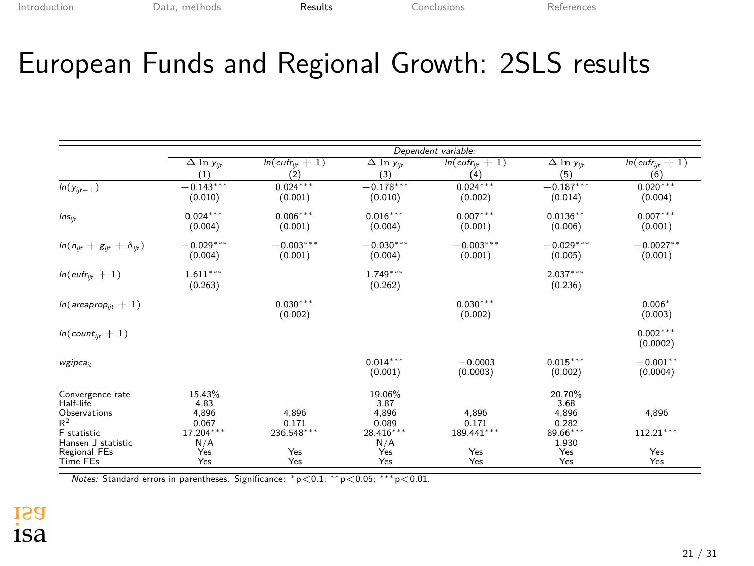### European Funds and Regional Growth: 2SLS results

|                                        | Dependent variable:                     |                         |                        |                        |                                         |                             |  |
|----------------------------------------|-----------------------------------------|-------------------------|------------------------|------------------------|-----------------------------------------|-----------------------------|--|
|                                        | $\overline{\Delta}$ ln y <sub>ijt</sub> | $ln(e^{ufr_{ijt}} + 1)$ | $\Delta$ ln $y_{ijt}$  | $ln(euff_{iit} + 1)$   | $\overline{\Delta}$ ln y <sub>ijt</sub> | $ln(euff_{\text{lit}} + 1)$ |  |
|                                        | (1)                                     | (2)                     | (3)                    | (4)                    | (5)                                     | (6)                         |  |
| $\overline{ln}(y_{ijt-1})$             | $-0.143***$<br>(0.010)                  | $0.024***$<br>(0.001)   | $-0.178***$<br>(0.010) | $0.024***$<br>(0.002)  | $-0.187***$<br>(0.014)                  | $0.020***$<br>(0.004)       |  |
| $Ins_{ijt}$                            | $0.024***$<br>(0.004)                   | $0.006***$<br>(0.001)   | $0.016***$<br>(0.004)  | $0.007***$<br>(0.001)  | $0.0136**$<br>(0.006)                   | $0.007***$<br>(0.001)       |  |
| $ln(n_{ijt} + g_{ijt} + \delta_{ijt})$ | $-0.029***$<br>(0.004)                  | $-0.003***$<br>(0.001)  | $-0.030***$<br>(0.004) | $-0.003***$<br>(0.001) | $-0.029***$<br>(0.005)                  | $-0.0027***$<br>(0.001)     |  |
| $ln(e^{inf_{ijk} + 1})$                | $1.611***$<br>(0.263)                   |                         | $1.749***$<br>(0.262)  |                        | $2.037***$<br>(0.236)                   |                             |  |
| $ln(a$ reaprop <sub>iit</sub> + 1)     |                                         | $0.030***$<br>(0.002)   |                        | $0.030***$<br>(0.002)  |                                         | $0.006*$<br>(0.003)         |  |
| $ln(count_{ii} + 1)$                   |                                         |                         |                        |                        |                                         | $0.002***$<br>(0.0002)      |  |
| wgipca <sub>ir</sub>                   |                                         |                         | $0.014***$<br>(0.001)  | $-0.0003$<br>(0.0003)  | $0.015***$<br>(0.002)                   | $-0.001**$<br>(0.0004)      |  |
| Convergence rate<br>Half-life          | 15.43%<br>4.83                          |                         | 19.06%<br>3.87         |                        | 20.70%<br>3.68                          |                             |  |
| Observations                           | 4,896                                   | 4,896                   | 4.896                  | 4,896                  | 4,896                                   | 4,896                       |  |
| $R^2$                                  | 0.067                                   | 0.171<br>236.548***     | 0.089                  | 0.171<br>189.441***    | 0.282                                   | $112.21***$                 |  |
| F statistic<br>Hansen J statistic      | 17.204***<br>N/A                        |                         | 28.416***<br>N/A       |                        | 89.66***<br>1.930                       |                             |  |
| Regional FEs                           | Yes                                     | Yes                     | Yes                    | Yes                    | Yes                                     | Yes                         |  |
| <b>Time FEs</b>                        | Yes                                     | Yes                     | Yes                    | Yes                    | Yes                                     | Yes                         |  |

*Notes:* Standard errors in parentheses. Significance: *<sup>∗</sup>* p*<*0.1; *∗∗* p*<*0.05; *∗∗∗* p*<*0.01.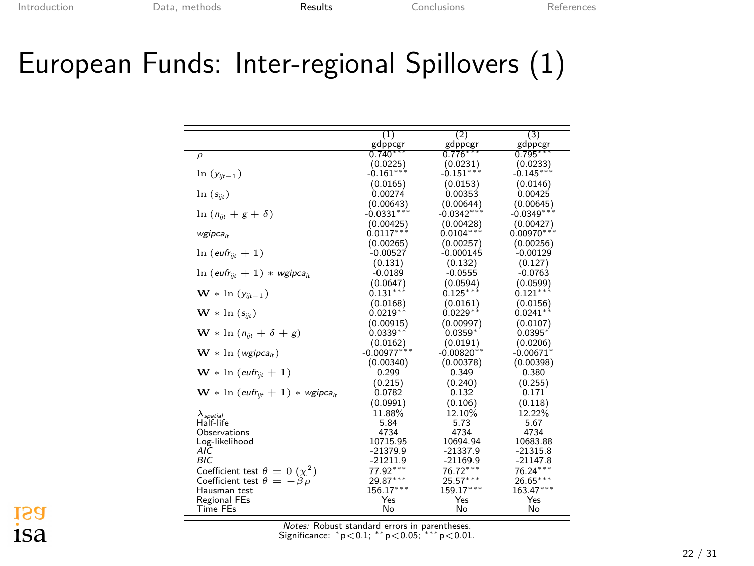#### European Funds: Inter-regional Spillovers (1)

|                                                                     | (1)           | (2)          | (3)                     |
|---------------------------------------------------------------------|---------------|--------------|-------------------------|
|                                                                     | gdppcgr       | gdppcgr      | gdppcgr                 |
| $\rho$                                                              | $0.740***$    | $0.776***$   | $0.795***$              |
|                                                                     | (0.0225)      | (0.0231)     | (0.0233)                |
| $ln(y_{i t-1})$                                                     | $-0.161***$   | $-0.151***$  | $-0.145***$             |
|                                                                     | (0.0165)      | (0.0153)     | (0.0146)                |
| $\ln(s_{\text{ijk}})$                                               | 0.00274       | 0.00353      | 0.00425                 |
|                                                                     | (0.00643)     | (0.00644)    | (0.00645)               |
| $\ln (n_{\text{fit}} + g + \delta)$                                 | $-0.0331***$  | $-0.0342***$ | $-0.0349***$            |
|                                                                     | (0.00425)     | (0.00428)    | (0.00427)               |
| wgipcait                                                            | $0.0117***$   | $0.0104***$  | $0.00970***$            |
|                                                                     | (0.00265)     | (0.00257)    | (0.00256)               |
| $ln (e^{i t} = + 1)$                                                | $-0.00527$    | $-0.000145$  | $-0.00129$              |
|                                                                     | (0.131)       | (0.132)      | (0.127)                 |
| $\ln$ (eufr <sub>iit</sub> + 1) * wgipca <sub>it</sub>              | $-0.0189$     | $-0.0555$    | $-0.0763$               |
|                                                                     | (0.0647)      | (0.0594)     | (0.0599)                |
| $\mathbf{W} * \ln(y_{ijt-1})$                                       | $0.131***$    | $0.125***$   | $0.121***$              |
|                                                                     | (0.0168)      | (0.0161)     | (0.0156)                |
| $\mathbf{W} * \ln (s_{ii}$                                          | $0.0219**$    | $0.0229**$   | $0.0241**$              |
|                                                                     | (0.00915)     | (0.00997)    | (0.0107)                |
| $\mathbf{W} * \ln (n_{ijt} + \delta + g)$                           | $0.0339**$    | $0.0359*$    | $0.0395*$               |
|                                                                     | (0.0162)      | (0.0191)     | (0.0206)                |
| $\mathbf{W} * \ln (wgipca_{it})$                                    | $-0.00977***$ | $-0.00820**$ | $-0.00671$ <sup>*</sup> |
|                                                                     | (0.00340)     | (0.00378)    | (0.00398)               |
| $\mathbf{W} * \ln (e^{if} = +1)$                                    | 0.299         | 0.349        | 0.380                   |
|                                                                     | (0.215)       | (0.240)      | (0.255)                 |
| $\mathbf{W} * \ln (e^{i t_{\text{lift}}} + 1) * \text{wgipca}_{it}$ | 0.0782        | 0.132        | 0.171                   |
|                                                                     | (0.0991)      | (0.106)      | (0.118)                 |
| $\lambda$ <sub>spatial</sub>                                        | 11.88%        | 12.10%       | 12.22%                  |
| Half-life                                                           | 5.84          | 5.73         | 5.67                    |
| Observations                                                        | 4734          | 4734         | 4734                    |
| Log-likelihood                                                      | 10715.95      | 10694.94     | 10683.88                |
| AIC                                                                 | $-21379.9$    | $-21337.9$   | $-21315.8$              |
| <b>BIC</b>                                                          | $-21211.9$    | $-21169.9$   | $-21147.8$              |
| Coefficient test $\theta = 0$ ( $\chi^2$ )                          | 77.92***      | $76.72***$   | $76.24***$              |
| Coefficient test $\theta = -\beta \rho$                             | 29.87***      | $25.57***$   | $26.65***$              |
| Hausman test                                                        | 156.17***     | 159.17***    | 163.47***               |
| Regional FEs                                                        | Yes           | Yes          | Yes                     |
| <b>Time FEs</b>                                                     | No            | No           | No                      |

*Notes:* Robust standard errors in parentheses. Significance: *<sup>∗</sup>* p*<*0.1; *∗∗* p*<*0.05; *∗∗∗* p*<*0.01.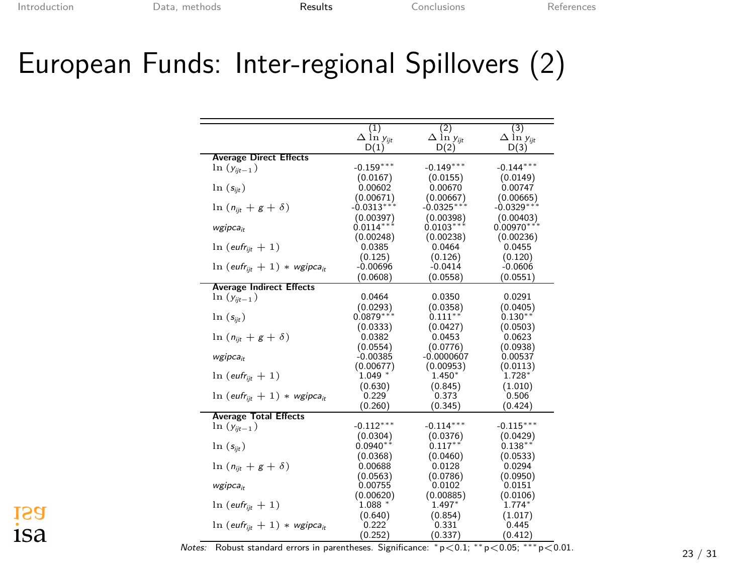### European Funds: Inter-regional Spillovers (2)

|                                                        | $\overline{1}$       | $^{(2)}$                     | (3)                  |
|--------------------------------------------------------|----------------------|------------------------------|----------------------|
|                                                        | $\Delta$ ln $y_{ii}$ | $\Delta$ in $y_{\text{int}}$ | $\Delta$ In $y_{ii}$ |
| <b>Average Direct Effects</b>                          | D(1)                 | D(2)                         | D(3)                 |
| $ln(y_{ijt-1})$                                        | $-0.159***$          | $-0.149***$                  | $-0.144***$          |
|                                                        | (0.0167)             | (0.0155)                     | (0.0149)             |
| $\ln(s_{ijt})$                                         | 0.00602              | 0.00670                      | 0.00747              |
|                                                        | (0.00671)            | (0.00667)                    | (0.00665)            |
| $\ln (n_{\text{fit}}+g+\delta)$                        | $-0.0313***$         | $-0.0325***$                 | $-0.0329***$         |
|                                                        | (0.00397)            | (0.00398)                    | (0.00403)            |
|                                                        | $0.0114***$          | $0.0103***$                  | $0.00970***$         |
| wgipca <sub>it</sub>                                   | (0.00248)            | (0.00238)                    | (0.00236)            |
|                                                        |                      |                              |                      |
| $ln (e^{i t} = 1)$                                     | 0.0385               | 0.0464                       | 0.0455               |
|                                                        | (0.125)              | (0.126)                      | (0.120)              |
| $\ln$ (eufr <sub>it</sub> + 1) * wgipca <sub>it</sub>  | $-0.00696$           | $-0.0414$                    | $-0.0606$            |
|                                                        | (0.0608)             | (0.0558)                     | (0.0551)             |
| <b>Average Indirect Effects</b>                        |                      |                              |                      |
| $\ln(y_{ijt-1})$                                       | 0.0464               | 0.0350                       | 0.0291               |
|                                                        | (0.0293)             | (0.0358)                     | (0.0405)             |
| $ln(s_{ijt})$                                          | $0.0879*$            | $0.111***$                   | $0.130**$            |
|                                                        | (0.0333)             | (0.0427)                     | (0.0503)             |
| $\ln (n_{\text{in}} + g + \delta)$                     | 0.0382               | 0.0453                       | 0.0623               |
|                                                        | (0.0554)             | (0.0776)                     | (0.0938)             |
| wgipca <sub>ir</sub>                                   | $-0.00385$           | $-0.0000607$                 | 0.00537              |
|                                                        | (0.00677)            | (0.00953)                    | (0.0113)             |
| $\ln$ (eufr <sub>iit</sub> + 1)                        | $1.049$ <sup>*</sup> | $1.450*$                     | $1.728*$             |
|                                                        | (0.630)              | (0.845)                      | (1.010)              |
| $\ln$ (eufr <sub>it</sub> + 1) * wgipca <sub>it</sub>  | 0.229                | 0.373                        | 0.506                |
|                                                        | (0.260)              | (0.345)                      | (0.424)              |
| <b>Average Total Effects</b>                           |                      |                              |                      |
| $ln(y_{ijt-1})$                                        | $-0.112***$          | $-0.114***$                  | $-0.115***$          |
|                                                        | (0.0304)             | (0.0376)                     | (0.0429)             |
| $\ln(s_{ijt})$                                         | $0.0940**$           | $0.117**$                    | $0.138**$            |
|                                                        | (0.0368)             | (0.0460)                     | (0.0533)             |
| $\ln (n_{\text{lin}} + g + \delta)$                    | 0.00688              | 0.0128                       | 0.0294               |
|                                                        | (0.0563)             | (0.0786)                     | (0.0950)             |
| $wgipca_{ir}$                                          | 0.00755              | 0.0102                       | 0.0151               |
|                                                        | (0.00620)            | (0.00885)                    | (0.0106)             |
| $\ln(e^{ufr}$ <sub>iit</sub> + 1)                      | 1.088                | $1.497*$                     | $1.774*$             |
|                                                        | (0.640)              | (0.854)                      | (1.017)              |
| $\ln$ (eufr <sub>iit</sub> + 1) * wgipca <sub>it</sub> | 0.222                | 0.331                        | 0.445                |
|                                                        | (0.252)              | (0.337)                      | (0.412)              |

1Sa 1Sa

(0.252) (0.337) (0.412) *Notes:* Robust standard errors in parentheses. Significance: *<sup>∗</sup>* <sup>p</sup>*<*0.1; *∗∗* <sup>p</sup>*<*0.05; *∗∗∗* <sup>p</sup>*<*0.01. 23 / 31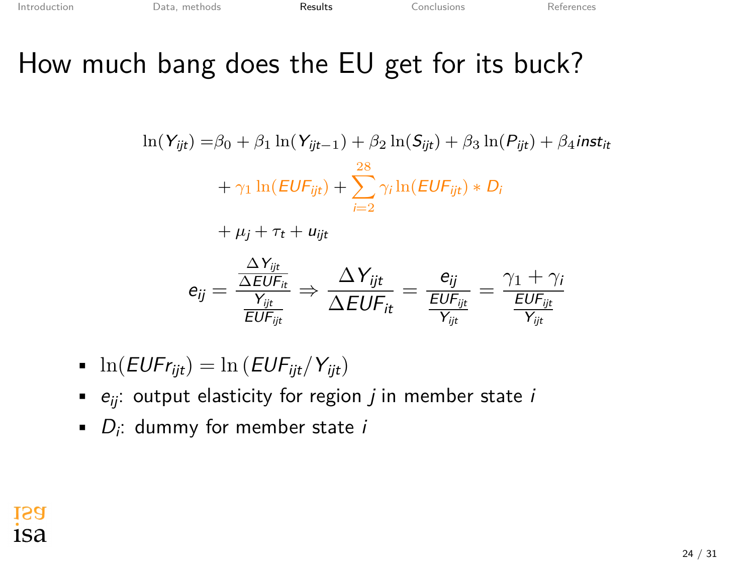### How much bang does the EU get for its buck?

$$
\ln(Y_{ijt}) = \beta_0 + \beta_1 \ln(Y_{ijt-1}) + \beta_2 \ln(S_{ijt}) + \beta_3 \ln(P_{ijt}) + \beta_4 inst_{it}
$$
  
+  $\gamma_1 \ln(EUF_{ijt}) + \sum_{i=2}^{28} \gamma_i \ln(EUF_{ijt}) * D_i$   
+  $\mu_j + \tau_t + u_{ijt}$   
 $e_{ij} = \frac{\frac{\Delta Y_{ijt}}{\Delta EUF_{it}}}{\frac{Y_{ijt}}{EUF_{ijt}}} \Rightarrow \frac{\Delta Y_{ijt}}{\Delta EUF_{it}} = \frac{e_{ij}}{\frac{EUF_{ijt}}{Y_{ijt}}} = \frac{\gamma_1 + \gamma_i}{\frac{EUF_{ijt}}{Y_{ijt}}}$ 

\n- $$
\ln(EUF_{\text{Fijt}}) = \ln\left(\text{EUF}_{\text{ijt}}/Y_{\text{ijt}}\right)
$$
\n

- *eij*: output elasticity for region *j* in member state *i*
- *D<sup>i</sup>* : dummy for member state *i*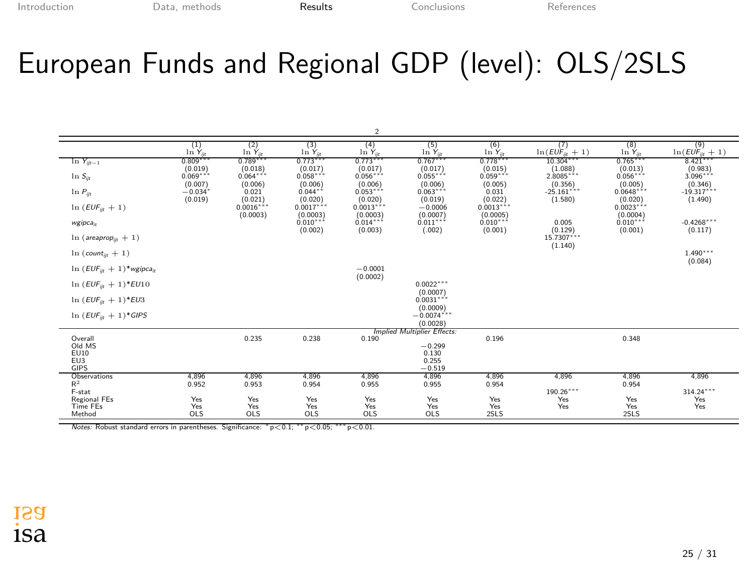### European Funds and Regional GDP (level): OLS/2SLS

|                                                     |                                |                             |                              | 2                                |                                     |                             |                                     |                                   |                                     |
|-----------------------------------------------------|--------------------------------|-----------------------------|------------------------------|----------------------------------|-------------------------------------|-----------------------------|-------------------------------------|-----------------------------------|-------------------------------------|
|                                                     | $\frac{1}{\ln Y_{\rm in}}$     | (2)<br>$\ln Y_{ik}$         | (3)<br>$\ln Y_{ik}$          | $^{(4)}$<br>$\ln Y_{it}$         | $\frac{(5)}{\ln Y_{\rm in}}$        | (6)<br>$\ln Y_{\text{in}}$  | (7)<br>$\ln(EU\ddot{F}_{ii}+1)$     | (8)<br>$\ln Y_{in}$               | (9)<br>$\ln(EU\ddot{F}_{\rm dt}+1)$ |
| $\ln Y_{ijt-1}$                                     | 0.809<br>(0.019)               | 0.789<br>(0.018)            | 0.773<br>(0.017)             | $0.773***$<br>(0.017)            | $0.767***$<br>(0.017)               | 0.778<br>(0.015)            | 10.304<br>(1.088)                   | $0.765***$<br>(0.013)             | 8.421<br>(0.983)                    |
| $\ln S_{ik}$                                        | $0.069***$                     | $0.064***$                  | $0.058***$                   | $0.056***$                       | $0.055***$                          | $0.059***$                  | $2.8085***$                         | $0.056***$                        | $3.096***$                          |
| $\ln P_{ik}$                                        | (0.007)<br>$-0.034$<br>(0.019) | (0.006)<br>0.021<br>(0.021) | (0.006)<br>0.044"<br>(0.020) | (0.006)<br>$0.053***$<br>(0.020) | (0.006)<br>$0.063***$<br>(0.019)    | (0.005)<br>0.031<br>(0.022) | (0.356)<br>$-25.161$ ***<br>(1.580) | (0.005)<br>$0.0648***$<br>(0.020) | (0.346)<br>$-19.317***$<br>(1.490)  |
| $ln(EUF_{ik} + 1)$                                  |                                | $0.0016***$<br>(0.0003)     | $0.0017***$<br>(0.0003)      | $0.0013***$<br>(0.0003)          | $-0.0006$<br>(0.0007)               | $0.0013***$<br>(0.0005)     |                                     | $0.0023***$<br>(0.0004)           |                                     |
| wgipca <sub>it</sub>                                |                                |                             | $0.010***$                   | $0.014***$                       | $0.011***$                          | $0.010***$                  | 0.005                               | $0.010***$                        | $-0.4268***$                        |
| $\ln$ (areaprop <sub>is</sub> + 1)                  |                                |                             | (0.002)                      | (0.003)                          | (.002)                              | (0.001)                     | (0.129)<br>$15.7307***$             | (0.001)                           | (0.117)                             |
| $ln(count_{ik} + 1)$                                |                                |                             |                              |                                  |                                     |                             | (1.140)                             |                                   | $1.490***$<br>(0.084)               |
| $\ln (EUF_{ii} + 1)^*$ wgipca <sub>n</sub>          |                                |                             |                              | $-0.0001$<br>(0.0002)            |                                     |                             |                                     |                                   |                                     |
| $\ln$ ( <i>EUF</i> <sub>it</sub> + 1)* <i>EU</i> 10 |                                |                             |                              |                                  | $0.0022***$                         |                             |                                     |                                   |                                     |
| $\ln$ ( <i>EUF</i> <sub>it</sub> + 1)* <i>EU</i> 3  |                                |                             |                              |                                  | (0.0007)<br>$0.0031***$<br>(0.0009) |                             |                                     |                                   |                                     |
| $\ln$ (EUF <sub>it</sub> + 1)*GIPS                  |                                |                             |                              |                                  | $-0.0074***$<br>(0.0028)            |                             |                                     |                                   |                                     |
| Overall                                             |                                | 0.235                       | 0.238                        | 0.190                            | <b>Implied Multiplier Effects:</b>  | 0.196                       |                                     | 0.348                             |                                     |
| Old MS                                              |                                |                             |                              |                                  | $-0.299$                            |                             |                                     |                                   |                                     |
| EU10<br>EU3                                         |                                |                             |                              |                                  | 0.130<br>0.255                      |                             |                                     |                                   |                                     |
| GIPS                                                |                                |                             |                              |                                  | $-0.519$                            |                             |                                     |                                   |                                     |
| Observations                                        | 4,896                          | 4.896                       | 4.896                        | 4.896                            | 4.896                               | 4.896                       | 4.896                               | 4.896                             | 4.896                               |
| $R^2$<br>F-stat                                     | 0.952                          | 0.953                       | 0.954                        | 0.955                            | 0.955                               | 0.954                       | $190.26***$                         | 0.954                             | $314.24***$                         |
| Regional FEs                                        | Yes                            | Yes                         | Yes                          | Yes                              | Yes                                 | Yes                         | Yes                                 | Yes                               | Yes                                 |
| Time FEs                                            | Yes                            | Yes                         | Yes                          | Yes                              | Yes                                 | Yes                         | Yes                                 | Yes                               | Yes                                 |
| Method                                              | <b>OLS</b>                     | <b>OLS</b>                  | OLS                          | OLS                              | <b>OLS</b>                          | 2SLS                        |                                     | 2SLS                              |                                     |

*Notes:* Robust standard errors in parentheses. Significance: *<sup>∗</sup>* p*<*0.1; *∗∗* p*<*0.05; *∗∗∗* p*<*0.01.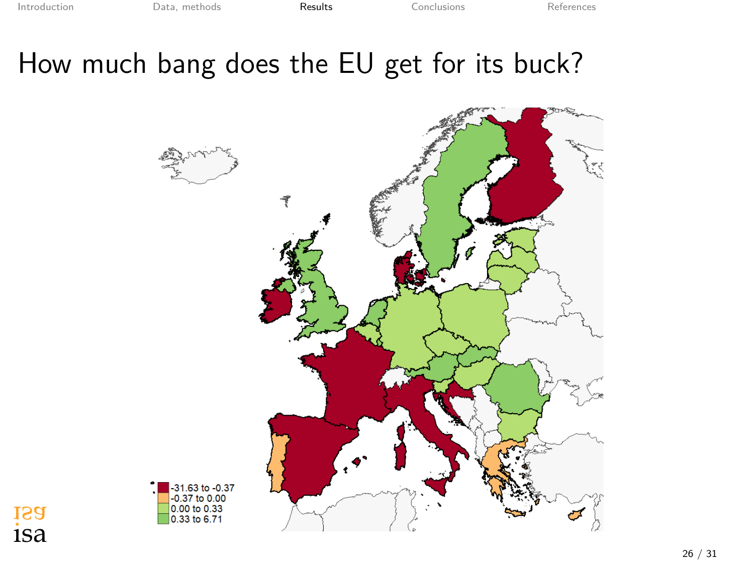### How much bang does the EU get for its buck?



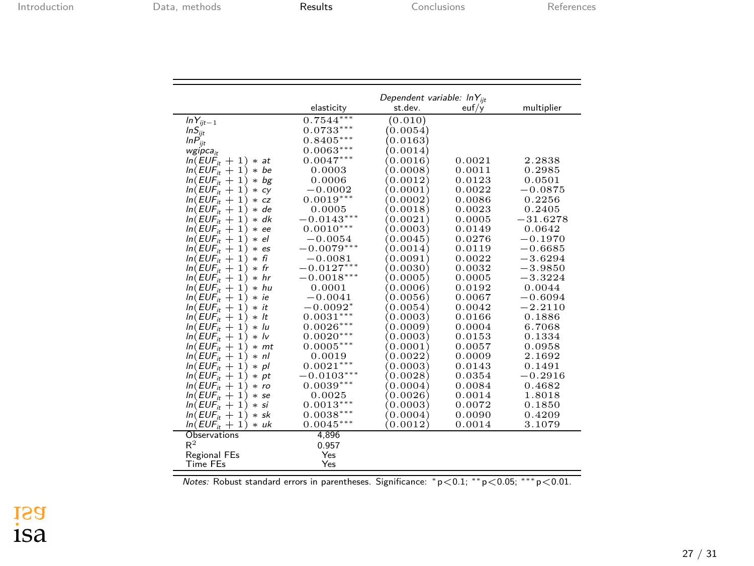|                         | Dependent variable: InY <sub>iit</sub> |          |        |            |  |  |
|-------------------------|----------------------------------------|----------|--------|------------|--|--|
|                         | elasticity                             | st.dev.  | euf/y  | multiplier |  |  |
| $ln Y_{ijt-1}$          | $0.7544***$                            | (0.010)  |        |            |  |  |
| $lnS_{ijt}$             | $0.0733***$                            | (0.0054) |        |            |  |  |
| $lnP_{in}$              | $0.8405***$                            | (0.0163) |        |            |  |  |
| wgipca,                 | $0.0063***$                            | (0.0014) |        |            |  |  |
| $ln(EUF_i + 1) * at$    | $0.0047***$                            | (0.0016) | 0.0021 | 2.2838     |  |  |
| $ln(EUF_i + 1) * be$    | 0.0003                                 | 0.0008   | 0.0011 | 0.2985     |  |  |
| $ln(EUF_{ir} + 1) * bg$ | 0.0006                                 | (0.0012) | 0.0123 | 0.0501     |  |  |
| $ln(EUF_i + 1) * cy$    | $-0.0002$                              | (0.0001) | 0.0022 | $-0.0875$  |  |  |
| $ln(EUF_i + 1) * cz$    | $0.0019***$                            | (0.0002) | 0.0086 | 0.2256     |  |  |
| $ln(EUF_{it} + 1) * de$ | 0.0005                                 | 0.0018   | 0.0023 | 0.2405     |  |  |
| $ln(EUF_i + 1) * dk$    | $-0.0143***$                           | (0.0021) | 0.0005 | $-31.6278$ |  |  |
| $ln(EUF_i + 1) * ee$    | $0.0010***$                            | 0.0003   | 0.0149 | 0.0642     |  |  |
| $ln(EUF_i + 1) * el$    | $-0.0054$                              | (0.0045) | 0.0276 | $-0.1970$  |  |  |
| $ln(EUF_i + 1) * es$    | $-0.0079***$                           | (0.0014) | 0.0119 | $-0.6685$  |  |  |
| $ln(EUF_i + 1) * fi$    | $-0.0081$                              | (0.0091) | 0.0022 | $-3.6294$  |  |  |
| $ln(EUF_i + 1) * fr$    | $-0.0127***$                           | (0.0030) | 0.0032 | $-3.9850$  |  |  |
| $ln(EUF_i + 1) * hr$    | $-0.0018***$                           | 0.0005   | 0.0005 | $-3.3224$  |  |  |
| $ln(EUF_i + 1) * hu$    | 0.0001                                 | (0.0006) | 0.0192 | 0.0044     |  |  |
| $ln(EUF_{it} + 1) * ie$ | $-0.0041$                              | 0.0056   | 0.0067 | $-0.6094$  |  |  |
| $ln(EUF_{it} + 1) * it$ | $-0.0092*$                             | (0.0054) | 0.0042 | $-2.2110$  |  |  |
| $ln(EUF_{ir} + 1) * It$ | $0.0031***$                            | 0.0003   | 0.0166 | 0.1886     |  |  |
| $ln(EUF_i + 1) * lu$    | $0.0026***$                            | (0.0009) | 0.0004 | 6.7068     |  |  |
| $ln(EUF_{it} + 1) * lv$ | $0.0020***$                            | 0.0003)  | 0.0153 | 0.1334     |  |  |
| $ln(EUF_{it} + 1) * mt$ | $0.0005***$                            | 0.0001   | 0.0057 | 0.0958     |  |  |
| $ln(EUF_i + 1) * nl$    | 0.0019                                 | 0.0022   | 0.0009 | 2.1692     |  |  |
| $ln(EUF_i + 1) * pl$    | $0.0021***$                            | 0.0003   | 0.0143 | 0.1491     |  |  |
| $ln(EUF_{it} + 1) * pt$ | $-0.0103***$                           | (0.0028) | 0.0354 | $-0.2916$  |  |  |
| $ln(EUF_i + 1) * ro$    | $0.0039***$                            | 0.0004   | 0.0084 | 0.4682     |  |  |
| $ln(EUF_{ir} + 1) * se$ | 0.0025                                 | (0.0026) | 0.0014 | 1.8018     |  |  |
| $ln(EUF_{it} + 1) * si$ | $0.0013***$                            | 0.0003   | 0.0072 | 0.1850     |  |  |
| $ln(EUF_i + 1) * sk$    | $0.0038***$                            | 0.0004   | 0.0090 | 0.4209     |  |  |
| $ln(EUF_i + 1) * uk$    | $0.0045***$                            | 0.0012   | 0.0014 | 3.1079     |  |  |
| <b>Observations</b>     | 4,896                                  |          |        |            |  |  |
| $R^2$                   | 0.957                                  |          |        |            |  |  |
| <b>Regional FEs</b>     | Yes                                    |          |        |            |  |  |
| <b>Time FEs</b>         | Yes                                    |          |        |            |  |  |

*Notes:* Robust standard errors in parentheses. Significance: *<sup>∗</sup>* p*<*0.1; *∗∗* p*<*0.05; *∗∗∗* p*<*0.01.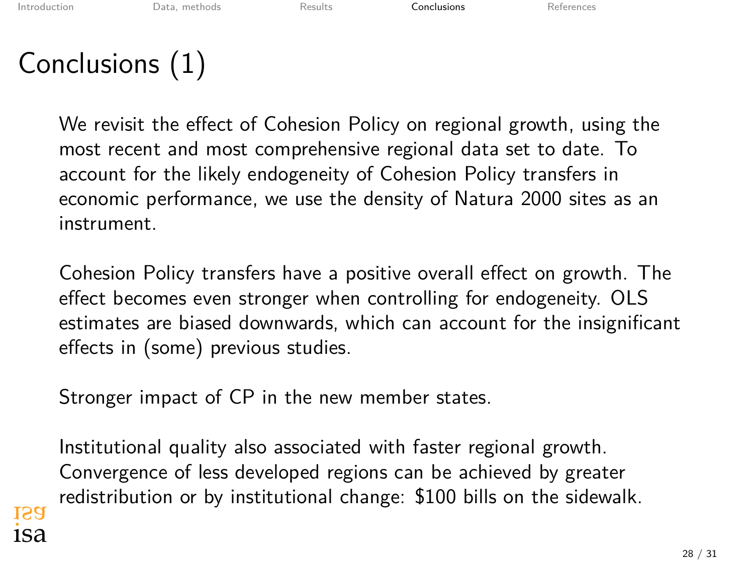# <span id="page-28-0"></span>Conclusions (1)

We revisit the effect of Cohesion Policy on regional growth, using the most recent and most comprehensive regional data set to date. To account for the likely endogeneity of Cohesion Policy transfers in economic performance, we use the density of Natura 2000 sites as an instrument.

Cohesion Policy transfers have a positive overall effect on growth. The effect becomes even stronger when controlling for endogeneity. OLS estimates are biased downwards, which can account for the insignificant effects in (some) previous studies.

Stronger impact of CP in the new member states.

Institutional quality also associated with faster regional growth. Convergence of less developed regions can be achieved by greater redistribution or by institutional change: \$100 bills on the sidewalk.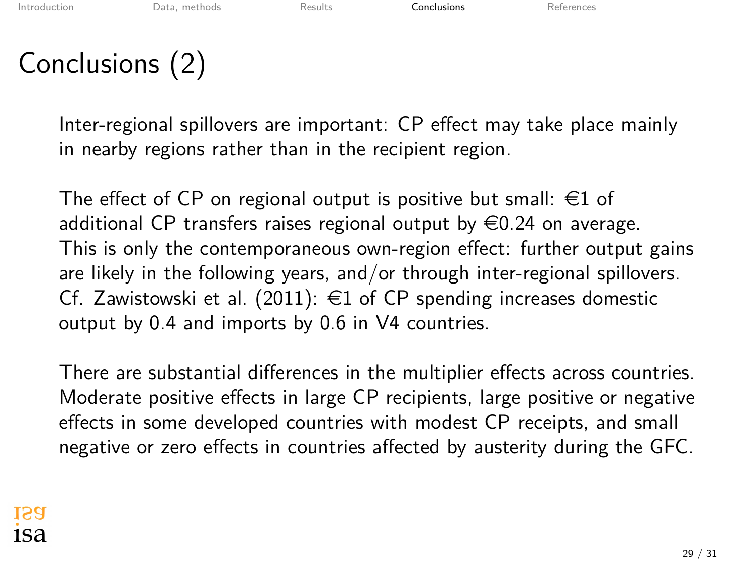## Conclusions (2)

Inter-regional spillovers are important: CP effect may take place mainly in nearby regions rather than in the recipient region.

The effect of CP on regional output is positive but small:  $\in$ 1 of additional CP transfers raises regional output by  $\in 0.24$  on average. This is only the contemporaneous own-region effect: further output gains are likely in the following years, and/or through inter-regional spillovers. Cf. [Zawistowski et al. \(2011](#page-30-17)):  $\in$ 1 of CP spending increases domestic output by 0.4 and imports by 0.6 in V4 countries.

There are substantial differences in the multiplier effects across countries. Moderate positive effects in large CP recipients, large positive or negative effects in some developed countries with modest CP receipts, and small negative or zero effects in countries affected by austerity during the GFC.